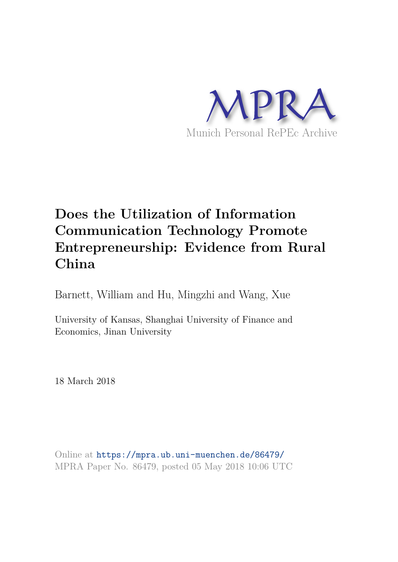

# **Does the Utilization of Information Communication Technology Promote Entrepreneurship: Evidence from Rural China**

Barnett, William and Hu, Mingzhi and Wang, Xue

University of Kansas, Shanghai University of Finance and Economics, Jinan University

18 March 2018

Online at https://mpra.ub.uni-muenchen.de/86479/ MPRA Paper No. 86479, posted 05 May 2018 10:06 UTC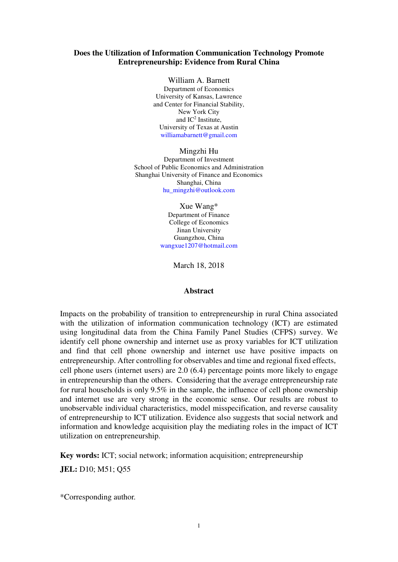#### **Does the Utilization of Information Communication Technology Promote Entrepreneurship: Evidence from Rural China**

William A. Barnett Department of Economics University of Kansas, Lawrence and Center for Financial Stability, New York City and IC<sup>2</sup> Institute, University of Texas at Austin williamabarnett@gmail.com

Mingzhi Hu Department of Investment School of Public Economics and Administration Shanghai University of Finance and Economics Shanghai, China hu\_mingzhi@outlook.com

> Xue Wang\* Department of Finance College of Economics Jinan University Guangzhou, China wangxue1207@hotmail.com

> > March 18, 2018

#### **Abstract**

Impacts on the probability of transition to entrepreneurship in rural China associated with the utilization of information communication technology (ICT) are estimated using longitudinal data from the China Family Panel Studies (CFPS) survey. We identify cell phone ownership and internet use as proxy variables for ICT utilization and find that cell phone ownership and internet use have positive impacts on entrepreneurship. After controlling for observables and time and regional fixed effects, cell phone users (internet users) are 2.0 (6.4) percentage points more likely to engage in entrepreneurship than the others. Considering that the average entrepreneurship rate for rural households is only 9.5% in the sample, the influence of cell phone ownership and internet use are very strong in the economic sense. Our results are robust to unobservable individual characteristics, model misspecification, and reverse causality of entrepreneurship to ICT utilization. Evidence also suggests that social network and information and knowledge acquisition play the mediating roles in the impact of ICT utilization on entrepreneurship.

**Key words:** ICT; social network; information acquisition; entrepreneurship **JEL:** D10; M51; Q55

\*Corresponding author.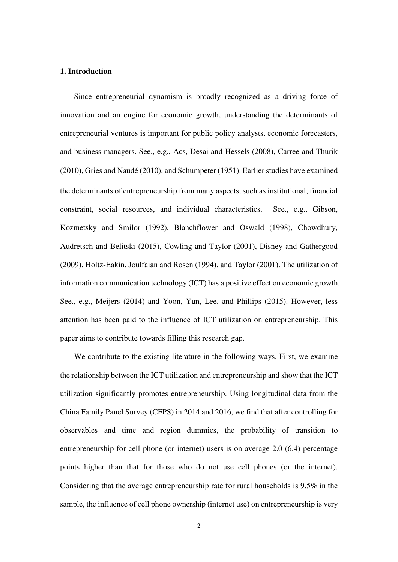#### **1. Introduction**

Since entrepreneurial dynamism is broadly recognized as a driving force of innovation and an engine for economic growth, understanding the determinants of entrepreneurial ventures is important for public policy analysts, economic forecasters, and business managers. See., e.g., Acs, Desai and Hessels (2008), Carree and Thurik (2010), Gries and Naudé (2010), and Schumpeter (1951). Earlier studies have examined the determinants of entrepreneurship from many aspects, such as institutional, financial constraint, social resources, and individual characteristics. See., e.g., Gibson, Kozmetsky and Smilor (1992), Blanchflower and Oswald (1998), Chowdhury, Audretsch and Belitski (2015), Cowling and Taylor (2001), Disney and Gathergood (2009), Holtz-Eakin, Joulfaian and Rosen (1994), and Taylor (2001). The utilization of information communication technology (ICT) has a positive effect on economic growth. See., e.g., Meijers (2014) and Yoon, Yun, Lee, and Phillips (2015). However, less attention has been paid to the influence of ICT utilization on entrepreneurship. This paper aims to contribute towards filling this research gap.

We contribute to the existing literature in the following ways. First, we examine the relationship between the ICT utilization and entrepreneurship and show that the ICT utilization significantly promotes entrepreneurship. Using longitudinal data from the China Family Panel Survey (CFPS) in 2014 and 2016, we find that after controlling for observables and time and region dummies, the probability of transition to entrepreneurship for cell phone (or internet) users is on average 2.0 (6.4) percentage points higher than that for those who do not use cell phones (or the internet). Considering that the average entrepreneurship rate for rural households is 9.5% in the sample, the influence of cell phone ownership (internet use) on entrepreneurship is very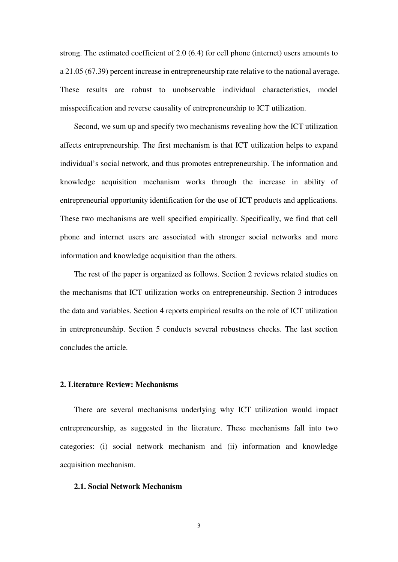strong. The estimated coefficient of 2.0 (6.4) for cell phone (internet) users amounts to a 21.05 (67.39) percent increase in entrepreneurship rate relative to the national average. These results are robust to unobservable individual characteristics, model misspecification and reverse causality of entrepreneurship to ICT utilization.

Second, we sum up and specify two mechanisms revealing how the ICT utilization affects entrepreneurship. The first mechanism is that ICT utilization helps to expand individual's social network, and thus promotes entrepreneurship. The information and knowledge acquisition mechanism works through the increase in ability of entrepreneurial opportunity identification for the use of ICT products and applications. These two mechanisms are well specified empirically. Specifically, we find that cell phone and internet users are associated with stronger social networks and more information and knowledge acquisition than the others.

The rest of the paper is organized as follows. Section 2 reviews related studies on the mechanisms that ICT utilization works on entrepreneurship. Section 3 introduces the data and variables. Section 4 reports empirical results on the role of ICT utilization in entrepreneurship. Section 5 conducts several robustness checks. The last section concludes the article.

#### **2. Literature Review: Mechanisms**

There are several mechanisms underlying why ICT utilization would impact entrepreneurship, as suggested in the literature. These mechanisms fall into two categories: (i) social network mechanism and (ii) information and knowledge acquisition mechanism.

#### **2.1. Social Network Mechanism**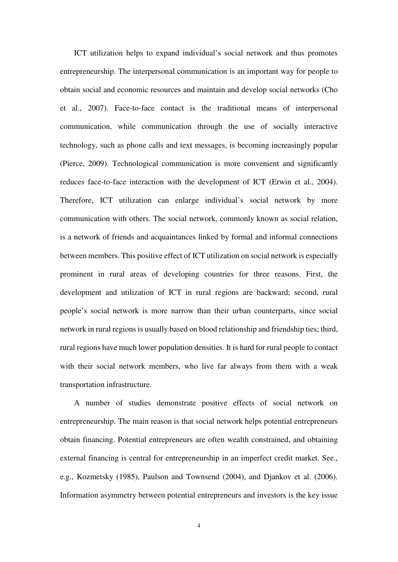ICT utilization helps to expand individual's social network and thus promotes entrepreneurship. The interpersonal communication is an important way for people to obtain social and economic resources and maintain and develop social networks (Cho et al., 2007). Face-to-face contact is the traditional means of interpersonal communication, while communication through the use of socially interactive technology, such as phone calls and text messages, is becoming increasingly popular (Pierce, 2009). Technological communication is more convenient and significantly reduces face-to-face interaction with the development of ICT (Erwin et al., 2004). Therefore, ICT utilization can enlarge individual's social network by more communication with others. The social network, commonly known as social relation, is a network of friends and acquaintances linked by formal and informal connections between members. This positive effect of ICT utilization on social network is especially prominent in rural areas of developing countries for three reasons. First, the development and utilization of ICT in rural regions are backward; second, rural people's social network is more narrow than their urban counterparts, since social network in rural regions is usually based on blood relationship and friendship ties; third, rural regions have much lower population densities. It is hard for rural people to contact with their social network members, who live far always from them with a weak transportation infrastructure.

A number of studies demonstrate positive effects of social network on entrepreneurship. The main reason is that social network helps potential entrepreneurs obtain financing. Potential entrepreneurs are often wealth constrained, and obtaining external financing is central for entrepreneurship in an imperfect credit market. See., e.g., Kozmetsky (1985), Paulson and Townsend (2004), and Djankov et al. (2006). Information asymmetry between potential entrepreneurs and investors is the key issue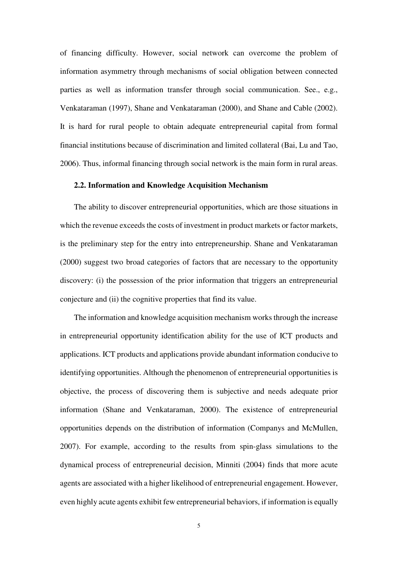of financing difficulty. However, social network can overcome the problem of information asymmetry through mechanisms of social obligation between connected parties as well as information transfer through social communication. See., e.g., Venkataraman (1997), Shane and Venkataraman (2000), and Shane and Cable (2002). It is hard for rural people to obtain adequate entrepreneurial capital from formal financial institutions because of discrimination and limited collateral (Bai, Lu and Tao, 2006). Thus, informal financing through social network is the main form in rural areas.

#### **2.2. Information and Knowledge Acquisition Mechanism**

The ability to discover entrepreneurial opportunities, which are those situations in which the revenue exceeds the costs of investment in product markets or factor markets, is the preliminary step for the entry into entrepreneurship. Shane and Venkataraman (2000) suggest two broad categories of factors that are necessary to the opportunity discovery: (i) the possession of the prior information that triggers an entrepreneurial conjecture and (ii) the cognitive properties that find its value.

The information and knowledge acquisition mechanism works through the increase in entrepreneurial opportunity identification ability for the use of ICT products and applications. ICT products and applications provide abundant information conducive to identifying opportunities. Although the phenomenon of entrepreneurial opportunities is objective, the process of discovering them is subjective and needs adequate prior information (Shane and Venkataraman, 2000). The existence of entrepreneurial opportunities depends on the distribution of information (Companys and McMullen, 2007). For example, according to the results from spin-glass simulations to the dynamical process of entrepreneurial decision, Minniti (2004) finds that more acute agents are associated with a higher likelihood of entrepreneurial engagement. However, even highly acute agents exhibit few entrepreneurial behaviors, if information is equally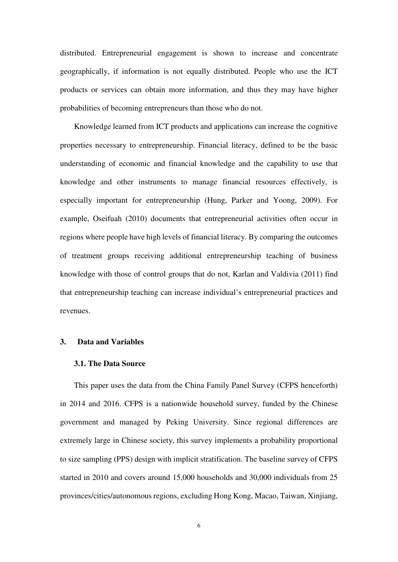distributed. Entrepreneurial engagement is shown to increase and concentrate geographically, if information is not equally distributed. People who use the ICT products or services can obtain more information, and thus they may have higher probabilities of becoming entrepreneurs than those who do not.

Knowledge learned from ICT products and applications can increase the cognitive properties necessary to entrepreneurship. Financial literacy, defined to be the basic understanding of economic and financial knowledge and the capability to use that knowledge and other instruments to manage financial resources effectively, is especially important for entrepreneurship (Hung, Parker and Yoong, 2009). For example, Oseifuah (2010) documents that entrepreneurial activities often occur in regions where people have high levels of financial literacy. By comparing the outcomes of treatment groups receiving additional entrepreneurship teaching of business knowledge with those of control groups that do not, Karlan and Valdivia (2011) find that entrepreneurship teaching can increase individual's entrepreneurial practices and revenues.

## **3. Data and Variables**

#### **3.1. The Data Source**

This paper uses the data from the China Family Panel Survey (CFPS henceforth) in 2014 and 2016. CFPS is a nationwide household survey, funded by the Chinese government and managed by Peking University. Since regional differences are extremely large in Chinese society, this survey implements a probability proportional to size sampling (PPS) design with implicit stratification. The baseline survey of CFPS started in 2010 and covers around 15,000 households and 30,000 individuals from 25 provinces/cities/autonomous regions, excluding Hong Kong, Macao, Taiwan, Xinjiang,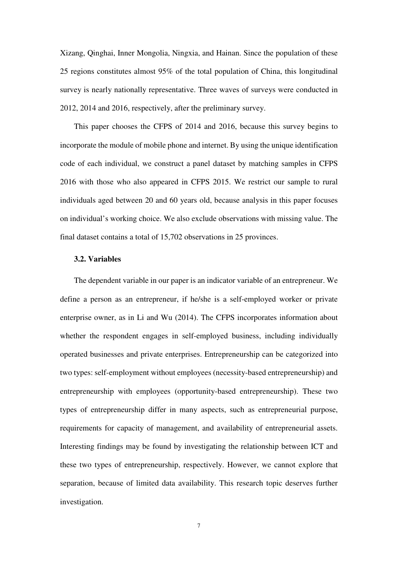Xizang, Qinghai, Inner Mongolia, Ningxia, and Hainan. Since the population of these 25 regions constitutes almost 95% of the total population of China, this longitudinal survey is nearly nationally representative. Three waves of surveys were conducted in 2012, 2014 and 2016, respectively, after the preliminary survey.

This paper chooses the CFPS of 2014 and 2016, because this survey begins to incorporate the module of mobile phone and internet. By using the unique identification code of each individual, we construct a panel dataset by matching samples in CFPS 2016 with those who also appeared in CFPS 2015. We restrict our sample to rural individuals aged between 20 and 60 years old, because analysis in this paper focuses on individual's working choice. We also exclude observations with missing value. The final dataset contains a total of 15,702 observations in 25 provinces.

#### **3.2. Variables**

The dependent variable in our paper is an indicator variable of an entrepreneur. We define a person as an entrepreneur, if he/she is a self-employed worker or private enterprise owner, as in Li and Wu (2014). The CFPS incorporates information about whether the respondent engages in self-employed business, including individually operated businesses and private enterprises. Entrepreneurship can be categorized into two types: self-employment without employees (necessity-based entrepreneurship) and entrepreneurship with employees (opportunity-based entrepreneurship). These two types of entrepreneurship differ in many aspects, such as entrepreneurial purpose, requirements for capacity of management, and availability of entrepreneurial assets. Interesting findings may be found by investigating the relationship between ICT and these two types of entrepreneurship, respectively. However, we cannot explore that separation, because of limited data availability. This research topic deserves further investigation.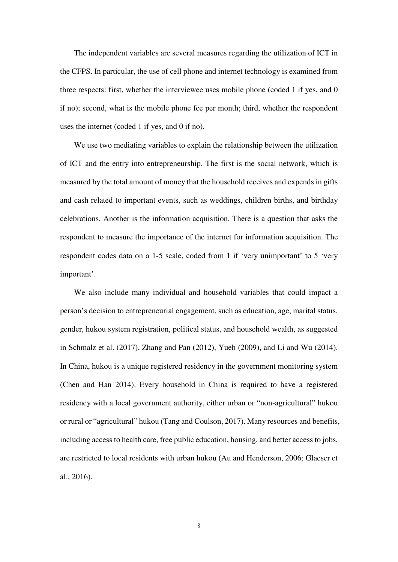The independent variables are several measures regarding the utilization of ICT in the CFPS. In particular, the use of cell phone and internet technology is examined from three respects: first, whether the interviewee uses mobile phone (coded 1 if yes, and 0 if no); second, what is the mobile phone fee per month; third, whether the respondent uses the internet (coded 1 if yes, and 0 if no).

We use two mediating variables to explain the relationship between the utilization of ICT and the entry into entrepreneurship. The first is the social network, which is measured by the total amount of money that the household receives and expends in gifts and cash related to important events, such as weddings, children births, and birthday celebrations. Another is the information acquisition. There is a question that asks the respondent to measure the importance of the internet for information acquisition. The respondent codes data on a 1-5 scale, coded from 1 if 'very unimportant' to 5 'very important'.

We also include many individual and household variables that could impact a person's decision to entrepreneurial engagement, such as education, age, marital status, gender, hukou system registration, political status, and household wealth, as suggested in Schmalz et al. (2017), Zhang and Pan (2012), Yueh (2009), and Li and Wu (2014). In China, hukou is a unique registered residency in the government monitoring system (Chen and Han 2014). Every household in China is required to have a registered residency with a local government authority, either urban or "non-agricultural" hukou or rural or "agricultural" hukou (Tang and Coulson, 2017). Many resources and benefits, including access to health care, free public education, housing, and better access to jobs, are restricted to local residents with urban hukou (Au and Henderson, 2006; Glaeser et al., 2016).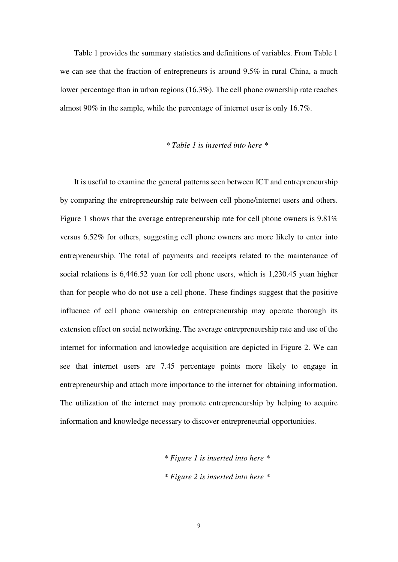Table 1 provides the summary statistics and definitions of variables. From Table 1 we can see that the fraction of entrepreneurs is around 9.5% in rural China, a much lower percentage than in urban regions (16.3%). The cell phone ownership rate reaches almost 90% in the sample, while the percentage of internet user is only 16.7%.

#### *\* Table 1 is inserted into here \**

It is useful to examine the general patterns seen between ICT and entrepreneurship by comparing the entrepreneurship rate between cell phone/internet users and others. Figure 1 shows that the average entrepreneurship rate for cell phone owners is 9.81% versus 6.52% for others, suggesting cell phone owners are more likely to enter into entrepreneurship. The total of payments and receipts related to the maintenance of social relations is 6,446.52 yuan for cell phone users, which is 1,230.45 yuan higher than for people who do not use a cell phone. These findings suggest that the positive influence of cell phone ownership on entrepreneurship may operate thorough its extension effect on social networking. The average entrepreneurship rate and use of the internet for information and knowledge acquisition are depicted in Figure 2. We can see that internet users are 7.45 percentage points more likely to engage in entrepreneurship and attach more importance to the internet for obtaining information. The utilization of the internet may promote entrepreneurship by helping to acquire information and knowledge necessary to discover entrepreneurial opportunities.

*\* Figure 1 is inserted into here \** 

*\* Figure 2 is inserted into here \**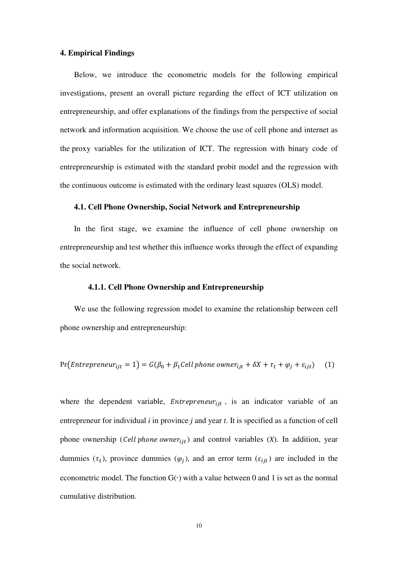#### **4. Empirical Findings**

Below, we introduce the econometric models for the following empirical investigations, present an overall picture regarding the effect of ICT utilization on entrepreneurship, and offer explanations of the findings from the perspective of social network and information acquisition. We choose the use of cell phone and internet as the proxy variables for the utilization of ICT. The regression with binary code of entrepreneurship is estimated with the standard probit model and the regression with the continuous outcome is estimated with the ordinary least squares (OLS) model.

#### **4.1. Cell Phone Ownership, Social Network and Entrepreneurship**

In the first stage, we examine the influence of cell phone ownership on entrepreneurship and test whether this influence works through the effect of expanding the social network.

#### **4.1.1. Cell Phone Ownership and Entrepreneurship**

We use the following regression model to examine the relationship between cell phone ownership and entrepreneurship:

$$
Pr(Enter \text{preneur}_{ijt} = 1) = G(\beta_0 + \beta_1 Cell \text{ phone owner}_{ijt} + \delta X + \tau_t + \varphi_j + \varepsilon_{ijt}) \tag{1}
$$

where the dependent variable,  $Entropy_{ijt}$ , is an indicator variable of an entrepreneur for individual *i* in province *j* and year *t*. It is specified as a function of cell phone ownership (*Cell phone owner<sub>tit</sub>*) and control variables  $(X)$ . In addition, year dummies  $(\tau_t)$ , province dummies  $(\varphi_j)$ , and an error term  $(\varepsilon_{ijt})$  are included in the econometric model. The function G(∙) with a value between 0 and 1 is set as the normal cumulative distribution.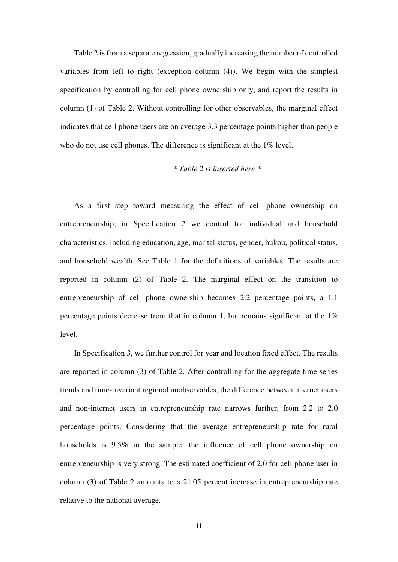Table 2 is from a separate regression, gradually increasing the number of controlled variables from left to right (exception column (4)). We begin with the simplest specification by controlling for cell phone ownership only, and report the results in column (1) of Table 2. Without controlling for other observables, the marginal effect indicates that cell phone users are on average 3.3 percentage points higher than people who do not use cell phones. The difference is significant at the 1% level.

## *\* Table 2 is inserted here \**

As a first step toward measuring the effect of cell phone ownership on entrepreneurship, in Specification 2 we control for individual and household characteristics, including education, age, marital status, gender, hukou, political status, and household wealth. See Table 1 for the definitions of variables. The results are reported in column (2) of Table 2. The marginal effect on the transition to entrepreneurship of cell phone ownership becomes 2.2 percentage points, a 1.1 percentage points decrease from that in column 1, but remains significant at the 1% level.

In Specification 3, we further control for year and location fixed effect. The results are reported in column (3) of Table 2. After controlling for the aggregate time-series trends and time-invariant regional unobservables, the difference between internet users and non-internet users in entrepreneurship rate narrows further, from 2.2 to 2.0 percentage points. Considering that the average entrepreneurship rate for rural households is 9.5% in the sample, the influence of cell phone ownership on entrepreneurship is very strong. The estimated coefficient of 2.0 for cell phone user in column (3) of Table 2 amounts to a 21.05 percent increase in entrepreneurship rate relative to the national average.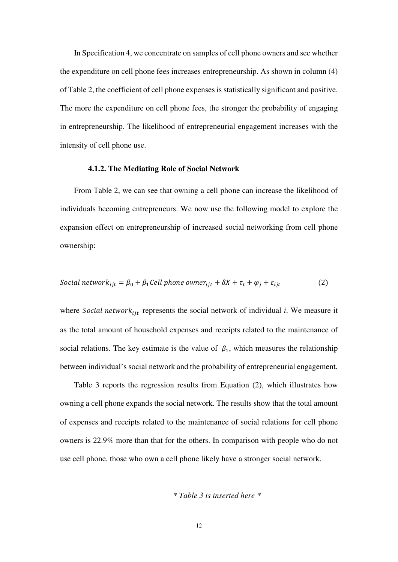In Specification 4, we concentrate on samples of cell phone owners and see whether the expenditure on cell phone fees increases entrepreneurship. As shown in column (4) of Table 2, the coefficient of cell phone expenses is statistically significant and positive. The more the expenditure on cell phone fees, the stronger the probability of engaging in entrepreneurship. The likelihood of entrepreneurial engagement increases with the intensity of cell phone use.

#### **4.1.2. The Mediating Role of Social Network**

From Table 2, we can see that owning a cell phone can increase the likelihood of individuals becoming entrepreneurs. We now use the following model to explore the expansion effect on entrepreneurship of increased social networking from cell phone ownership:

*Social network<sub>ijt</sub>* = 
$$
\beta_0 + \beta_1
$$
*Cell phone owner<sub>ijt</sub>* +  $\delta X + \tau_t + \varphi_j + \varepsilon_{ijt}$  (2)

where *Social network*<sub>ijt</sub> represents the social network of individual *i*. We measure it as the total amount of household expenses and receipts related to the maintenance of social relations. The key estimate is the value of  $\beta_1$ , which measures the relationship between individual's social network and the probability of entrepreneurial engagement.

Table 3 reports the regression results from Equation (2), which illustrates how owning a cell phone expands the social network. The results show that the total amount of expenses and receipts related to the maintenance of social relations for cell phone owners is 22.9% more than that for the others. In comparison with people who do not use cell phone, those who own a cell phone likely have a stronger social network.

$$
*
$$
 Table 3 is inserted here  $*$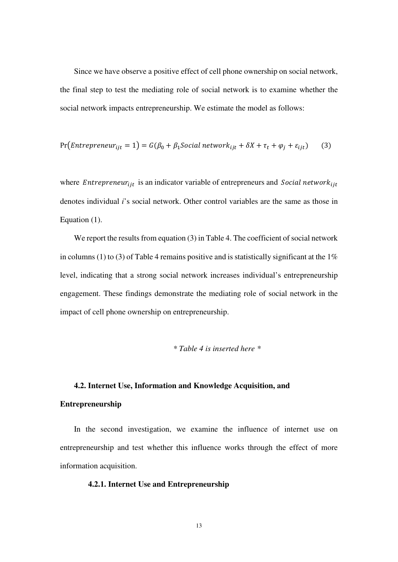Since we have observe a positive effect of cell phone ownership on social network, the final step to test the mediating role of social network is to examine whether the social network impacts entrepreneurship. We estimate the model as follows:

$$
Pr(Enteroperator_{ijt} = 1) = G(\beta_0 + \beta_1 Social network_{ijt} + \delta X + \tau_t + \varphi_j + \varepsilon_{ijt})
$$
 (3)

where *Entrepreneur<sub>iit</sub>* is an indicator variable of entrepreneurs and *Social network*<sub>iit</sub> denotes individual *i*'s social network. Other control variables are the same as those in Equation (1).

We report the results from equation (3) in Table 4. The coefficient of social network in columns (1) to (3) of Table 4 remains positive and is statistically significant at the  $1\%$ level, indicating that a strong social network increases individual's entrepreneurship engagement. These findings demonstrate the mediating role of social network in the impact of cell phone ownership on entrepreneurship.

#### *\* Table 4 is inserted here \**

## **4.2. Internet Use, Information and Knowledge Acquisition, and Entrepreneurship**

In the second investigation, we examine the influence of internet use on entrepreneurship and test whether this influence works through the effect of more information acquisition.

#### **4.2.1. Internet Use and Entrepreneurship**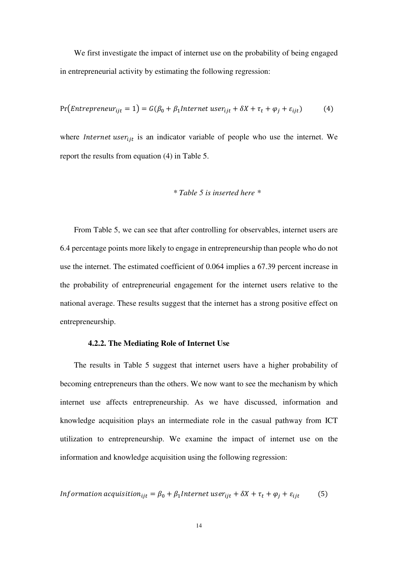We first investigate the impact of internet use on the probability of being engaged in entrepreneurial activity by estimating the following regression:

$$
Pr(Enter \text{prenew}_{ijt} = 1) = G(\beta_0 + \beta_1 Internet \text{user}_{ijt} + \delta X + \tau_t + \varphi_j + \varepsilon_{ijt}) \tag{4}
$$

where *Internet user<sub>ijt</sub>* is an indicator variable of people who use the internet. We report the results from equation (4) in Table 5.

#### *\* Table 5 is inserted here \**

From Table 5, we can see that after controlling for observables, internet users are 6.4 percentage points more likely to engage in entrepreneurship than people who do not use the internet. The estimated coefficient of 0.064 implies a 67.39 percent increase in the probability of entrepreneurial engagement for the internet users relative to the national average. These results suggest that the internet has a strong positive effect on entrepreneurship.

#### **4.2.2. The Mediating Role of Internet Use**

The results in Table 5 suggest that internet users have a higher probability of becoming entrepreneurs than the others. We now want to see the mechanism by which internet use affects entrepreneurship. As we have discussed, information and knowledge acquisition plays an intermediate role in the casual pathway from ICT utilization to entrepreneurship. We examine the impact of internet use on the information and knowledge acquisition using the following regression:

*Information acquisition*<sub>ijt</sub> = 
$$
\beta_0 + \beta_1
$$
*Internet user*<sub>ijt</sub> +  $\delta X + \tau_t + \varphi_j + \varepsilon_{ijt}$  (5)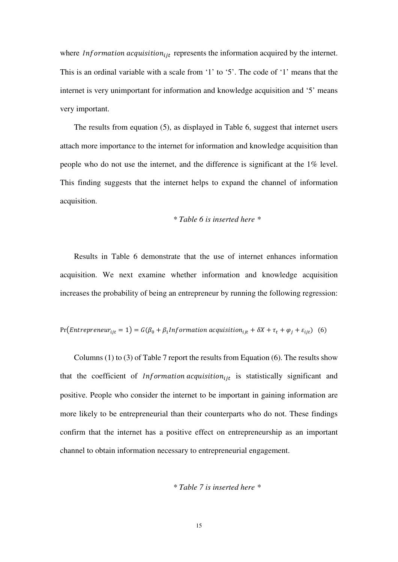where *Information* acquisition<sub>iit</sub> represents the information acquired by the internet. This is an ordinal variable with a scale from '1' to '5'. The code of '1' means that the internet is very unimportant for information and knowledge acquisition and '5' means very important.

The results from equation (5), as displayed in Table 6, suggest that internet users attach more importance to the internet for information and knowledge acquisition than people who do not use the internet, and the difference is significant at the 1% level. This finding suggests that the internet helps to expand the channel of information acquisition.

*\* Table 6 is inserted here \**

Results in Table 6 demonstrate that the use of internet enhances information acquisition. We next examine whether information and knowledge acquisition increases the probability of being an entrepreneur by running the following regression:

$$
Pr(Enteroperator_{ijt} = 1) = G(\beta_0 + \beta_1 Information acquisition_{ijt} + \delta X + \tau_t + \varphi_j + \varepsilon_{ijt})
$$
 (6)

Columns (1) to (3) of Table 7 report the results from Equation (6). The results show that the coefficient of *Information* acquisition<sub>ijt</sub> is statistically significant and positive. People who consider the internet to be important in gaining information are more likely to be entrepreneurial than their counterparts who do not. These findings confirm that the internet has a positive effect on entrepreneurship as an important channel to obtain information necessary to entrepreneurial engagement.

*\* Table 7 is inserted here \**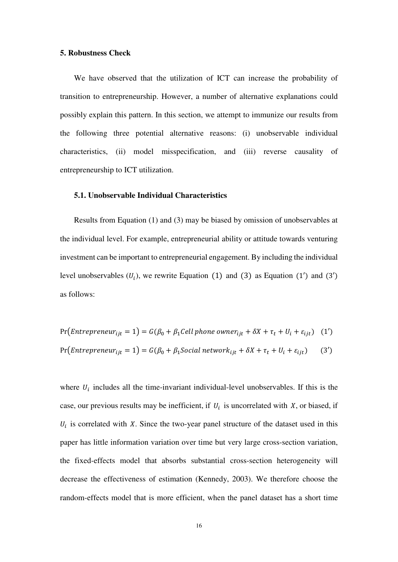#### **5. Robustness Check**

We have observed that the utilization of ICT can increase the probability of transition to entrepreneurship. However, a number of alternative explanations could possibly explain this pattern. In this section, we attempt to immunize our results from the following three potential alternative reasons: (i) unobservable individual characteristics, (ii) model misspecification, and (iii) reverse causality of entrepreneurship to ICT utilization.

#### **5.1. Unobservable Individual Characteristics**

Results from Equation (1) and (3) may be biased by omission of unobservables at the individual level. For example, entrepreneurial ability or attitude towards venturing investment can be important to entrepreneurial engagement. By including the individual level unobservables  $(U_i)$ , we rewrite Equation (1) and (3) as Equation (1') and (3') as follows:

$$
Pr(Enteroperator_{ijt} = 1) = G(\beta_0 + \beta_1 Cell \text{ phone owner}_{ijt} + \delta X + \tau_t + U_i + \varepsilon_{ijt}) \quad (1')
$$
\n
$$
Pr(Enteroperator_{ijt} = 1) = G(\beta_0 + \beta_1 Social \text{ network}_{ijt} + \delta X + \tau_t + U_i + \varepsilon_{ijt}) \quad (3')
$$

where  $U_i$  includes all the time-invariant individual-level unobservables. If this is the case, our previous results may be inefficient, if  $U_i$  is uncorrelated with  $X$ , or biased, if  $U_i$  is correlated with X. Since the two-year panel structure of the dataset used in this paper has little information variation over time but very large cross-section variation, the fixed-effects model that absorbs substantial cross-section heterogeneity will decrease the effectiveness of estimation (Kennedy, 2003). We therefore choose the random-effects model that is more efficient, when the panel dataset has a short time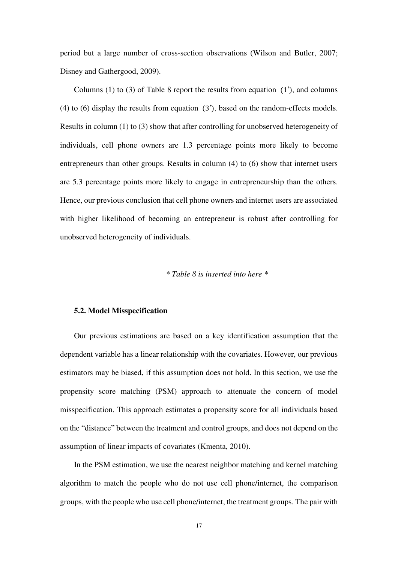period but a large number of cross-section observations (Wilson and Butler, 2007; Disney and Gathergood, 2009).

Columns  $(1)$  to  $(3)$  of Table 8 report the results from equation  $(1')$ , and columns (4) to (6) display the results from equation (3′), based on the random-effects models. Results in column (1) to (3) show that after controlling for unobserved heterogeneity of individuals, cell phone owners are 1.3 percentage points more likely to become entrepreneurs than other groups. Results in column (4) to (6) show that internet users are 5.3 percentage points more likely to engage in entrepreneurship than the others. Hence, our previous conclusion that cell phone owners and internet users are associated with higher likelihood of becoming an entrepreneur is robust after controlling for unobserved heterogeneity of individuals.

#### *\* Table 8 is inserted into here \**

#### **5.2. Model Misspecification**

Our previous estimations are based on a key identification assumption that the dependent variable has a linear relationship with the covariates. However, our previous estimators may be biased, if this assumption does not hold. In this section, we use the propensity score matching (PSM) approach to attenuate the concern of model misspecification. This approach estimates a propensity score for all individuals based on the "distance" between the treatment and control groups, and does not depend on the assumption of linear impacts of covariates (Kmenta, 2010).

In the PSM estimation, we use the nearest neighbor matching and kernel matching algorithm to match the people who do not use cell phone/internet, the comparison groups, with the people who use cell phone/internet, the treatment groups. The pair with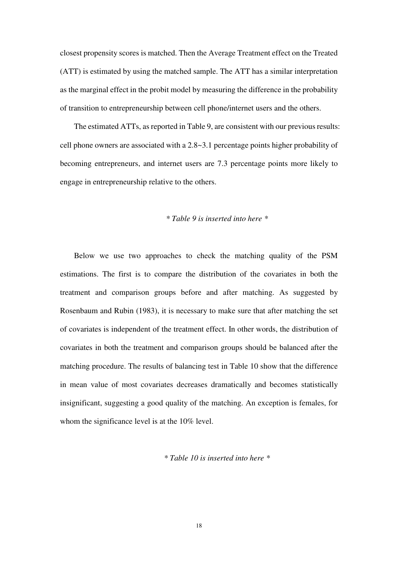closest propensity scores is matched. Then the Average Treatment effect on the Treated (ATT) is estimated by using the matched sample. The ATT has a similar interpretation as the marginal effect in the probit model by measuring the difference in the probability of transition to entrepreneurship between cell phone/internet users and the others.

The estimated ATTs, as reported in Table 9, are consistent with our previous results: cell phone owners are associated with a 2.8~3.1 percentage points higher probability of becoming entrepreneurs, and internet users are 7.3 percentage points more likely to engage in entrepreneurship relative to the others.

## *\* Table 9 is inserted into here \**

Below we use two approaches to check the matching quality of the PSM estimations. The first is to compare the distribution of the covariates in both the treatment and comparison groups before and after matching. As suggested by Rosenbaum and Rubin (1983), it is necessary to make sure that after matching the set of covariates is independent of the treatment effect. In other words, the distribution of covariates in both the treatment and comparison groups should be balanced after the matching procedure. The results of balancing test in Table 10 show that the difference in mean value of most covariates decreases dramatically and becomes statistically insignificant, suggesting a good quality of the matching. An exception is females, for whom the significance level is at the 10% level.

*\* Table 10 is inserted into here \**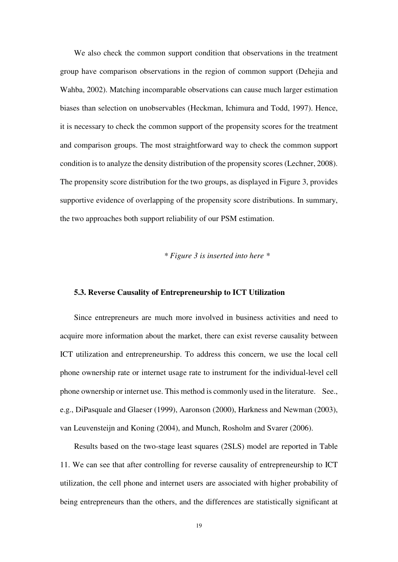We also check the common support condition that observations in the treatment group have comparison observations in the region of common support (Dehejia and Wahba, 2002). Matching incomparable observations can cause much larger estimation biases than selection on unobservables (Heckman, Ichimura and Todd, 1997). Hence, it is necessary to check the common support of the propensity scores for the treatment and comparison groups. The most straightforward way to check the common support condition is to analyze the density distribution of the propensity scores (Lechner, 2008). The propensity score distribution for the two groups, as displayed in Figure 3, provides supportive evidence of overlapping of the propensity score distributions. In summary, the two approaches both support reliability of our PSM estimation.

*\* Figure 3 is inserted into here \** 

#### **5.3. Reverse Causality of Entrepreneurship to ICT Utilization**

Since entrepreneurs are much more involved in business activities and need to acquire more information about the market, there can exist reverse causality between ICT utilization and entrepreneurship. To address this concern, we use the local cell phone ownership rate or internet usage rate to instrument for the individual-level cell phone ownership or internet use. This method is commonly used in the literature. See., e.g., DiPasquale and Glaeser (1999), Aaronson (2000), Harkness and Newman (2003), van Leuvensteijn and Koning (2004), and Munch, Rosholm and Svarer (2006).

Results based on the two-stage least squares (2SLS) model are reported in Table 11. We can see that after controlling for reverse causality of entrepreneurship to ICT utilization, the cell phone and internet users are associated with higher probability of being entrepreneurs than the others, and the differences are statistically significant at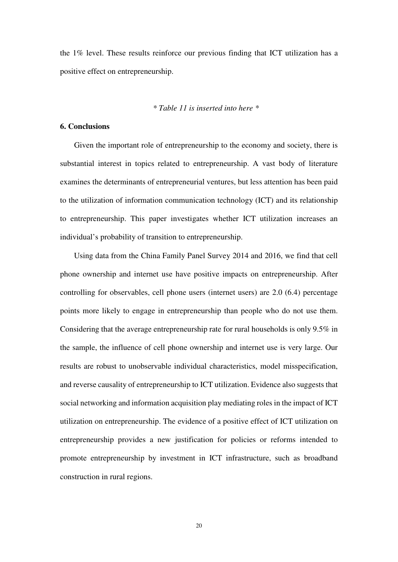the 1% level. These results reinforce our previous finding that ICT utilization has a positive effect on entrepreneurship.

#### *\* Table 11 is inserted into here \**

#### **6. Conclusions**

Given the important role of entrepreneurship to the economy and society, there is substantial interest in topics related to entrepreneurship. A vast body of literature examines the determinants of entrepreneurial ventures, but less attention has been paid to the utilization of information communication technology (ICT) and its relationship to entrepreneurship. This paper investigates whether ICT utilization increases an individual's probability of transition to entrepreneurship.

Using data from the China Family Panel Survey 2014 and 2016, we find that cell phone ownership and internet use have positive impacts on entrepreneurship. After controlling for observables, cell phone users (internet users) are 2.0 (6.4) percentage points more likely to engage in entrepreneurship than people who do not use them. Considering that the average entrepreneurship rate for rural households is only 9.5% in the sample, the influence of cell phone ownership and internet use is very large. Our results are robust to unobservable individual characteristics, model misspecification, and reverse causality of entrepreneurship to ICT utilization. Evidence also suggests that social networking and information acquisition play mediating roles in the impact of ICT utilization on entrepreneurship. The evidence of a positive effect of ICT utilization on entrepreneurship provides a new justification for policies or reforms intended to promote entrepreneurship by investment in ICT infrastructure, such as broadband construction in rural regions.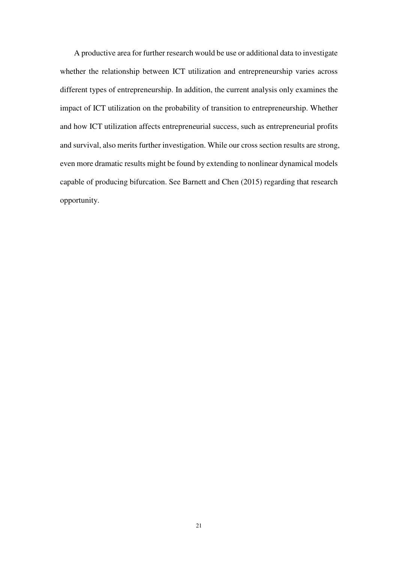A productive area for further research would be use or additional data to investigate whether the relationship between ICT utilization and entrepreneurship varies across different types of entrepreneurship. In addition, the current analysis only examines the impact of ICT utilization on the probability of transition to entrepreneurship. Whether and how ICT utilization affects entrepreneurial success, such as entrepreneurial profits and survival, also merits further investigation. While our cross section results are strong, even more dramatic results might be found by extending to nonlinear dynamical models capable of producing bifurcation. See Barnett and Chen (2015) regarding that research opportunity.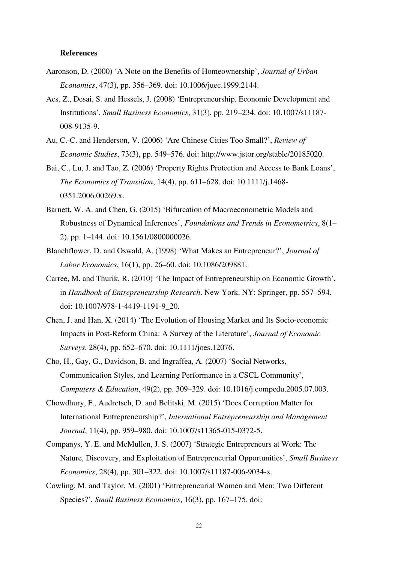#### **References**

- Aaronson, D. (2000) 'A Note on the Benefits of Homeownership', *Journal of Urban Economics*, 47(3), pp. 356–369. doi: 10.1006/juec.1999.2144.
- Acs, Z., Desai, S. and Hessels, J. (2008) 'Entrepreneurship, Economic Development and Institutions', *Small Business Economics*, 31(3), pp. 219–234. doi: 10.1007/s11187- 008-9135-9.
- Au, C.-C. and Henderson, V. (2006) 'Are Chinese Cities Too Small?', *Review of Economic Studies*, 73(3), pp. 549–576. doi: http://www.jstor.org/stable/20185020.
- Bai, C., Lu, J. and Tao, Z. (2006) 'Property Rights Protection and Access to Bank Loans', *The Economics of Transition*, 14(4), pp. 611–628. doi: 10.1111/j.1468- 0351.2006.00269.x.
- Barnett, W. A. and Chen, G. (2015) 'Bifurcation of Macroeconometric Models and Robustness of Dynamical Inferences', *Foundations and Trends in Econometrics*, 8(1– 2), pp. 1–144. doi: 10.1561/0800000026.
- Blanchflower, D. and Oswald, A. (1998) 'What Makes an Entrepreneur?', *Journal of Labor Economics*, 16(1), pp. 26–60. doi: 10.1086/209881.
- Carree, M. and Thurik, R. (2010) 'The Impact of Entrepreneurship on Economic Growth', in *Handbook of Entrepreneurship Research*. New York, NY: Springer, pp. 557–594. doi: 10.1007/978-1-4419-1191-9\_20.
- Chen, J. and Han, X. (2014) 'The Evolution of Housing Market and Its Socio-economic Impacts in Post-Reform China: A Survey of the Literature', *Journal of Economic Surveys*, 28(4), pp. 652–670. doi: 10.1111/joes.12076.
- Cho, H., Gay, G., Davidson, B. and Ingraffea, A*.* (2007) 'Social Networks, Communication Styles, and Learning Performance in a CSCL Community', *Computers & Education*, 49(2), pp. 309–329. doi: 10.1016/j.compedu.2005.07.003.
- Chowdhury, F., Audretsch, D. and Belitski, M. (2015) 'Does Corruption Matter for International Entrepreneurship?', *International Entrepreneurship and Management Journal*, 11(4), pp. 959–980. doi: 10.1007/s11365-015-0372-5.
- Companys, Y. E. and McMullen, J. S. (2007) 'Strategic Entrepreneurs at Work: The Nature, Discovery, and Exploitation of Entrepreneurial Opportunities', *Small Business Economics*, 28(4), pp. 301–322. doi: 10.1007/s11187-006-9034-x.
- Cowling, M. and Taylor, M. (2001) 'Entrepreneurial Women and Men: Two Different Species?', *Small Business Economics*, 16(3), pp. 167–175. doi: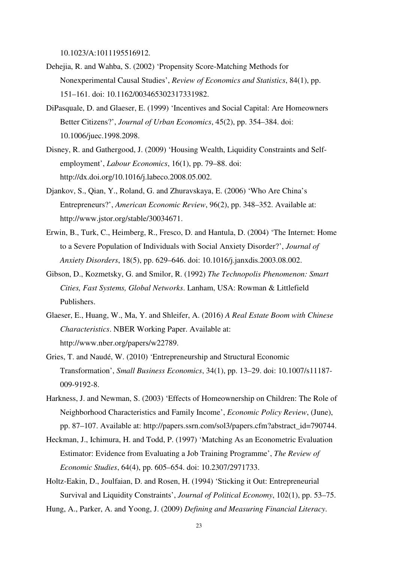10.1023/A:1011195516912.

- Dehejia, R. and Wahba, S. (2002) 'Propensity Score-Matching Methods for Nonexperimental Causal Studies', *Review of Economics and Statistics*, 84(1), pp. 151–161. doi: 10.1162/003465302317331982.
- DiPasquale, D. and Glaeser, E. (1999) 'Incentives and Social Capital: Are Homeowners Better Citizens?', *Journal of Urban Economics*, 45(2), pp. 354–384. doi: 10.1006/juec.1998.2098.
- Disney, R. and Gathergood, J. (2009) 'Housing Wealth, Liquidity Constraints and Selfemployment', *Labour Economics*, 16(1), pp. 79–88. doi: http://dx.doi.org/10.1016/j.labeco.2008.05.002.
- Djankov, S., Qian, Y., Roland, G. and Zhuravskaya, E. (2006) 'Who Are China's Entrepreneurs?', *American Economic Review*, 96(2), pp. 348–352. Available at: http://www.jstor.org/stable/30034671.
- Erwin, B., Turk, C., Heimberg, R., Fresco, D. and Hantula, D. (2004) 'The Internet: Home to a Severe Population of Individuals with Social Anxiety Disorder?', *Journal of Anxiety Disorders*, 18(5), pp. 629–646. doi: 10.1016/j.janxdis.2003.08.002.
- Gibson, D., Kozmetsky, G. and Smilor, R. (1992) *The Technopolis Phenomenon: Smart Cities, Fast Systems, Global Networks*. Lanham, USA: Rowman & Littlefield Publishers.
- Glaeser, E., Huang, W., Ma, Y. and Shleifer, A. (2016) *A Real Estate Boom with Chinese Characteristics*. NBER Working Paper. Available at: http://www.nber.org/papers/w22789.
- Gries, T. and Naudé, W. (2010) 'Entrepreneurship and Structural Economic Transformation', *Small Business Economics*, 34(1), pp. 13–29. doi: 10.1007/s11187- 009-9192-8.
- Harkness, J. and Newman, S. (2003) 'Effects of Homeownership on Children: The Role of Neighborhood Characteristics and Family Income', *Economic Policy Review*, (June), pp. 87–107. Available at: http://papers.ssrn.com/sol3/papers.cfm?abstract\_id=790744.
- Heckman, J., Ichimura, H. and Todd, P. (1997) 'Matching As an Econometric Evaluation Estimator: Evidence from Evaluating a Job Training Programme', *The Review of Economic Studies*, 64(4), pp. 605–654. doi: 10.2307/2971733.
- Holtz-Eakin, D., Joulfaian, D. and Rosen, H. (1994) 'Sticking it Out: Entrepreneurial Survival and Liquidity Constraints', *Journal of Political Economy*, 102(1), pp. 53–75.
- Hung, A., Parker, A. and Yoong, J. (2009) *Defining and Measuring Financial Literacy*.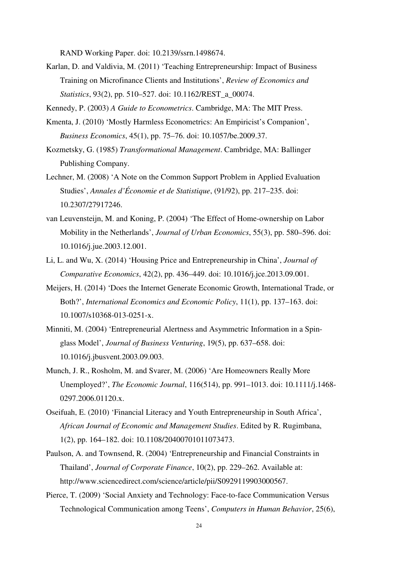RAND Working Paper. doi: 10.2139/ssrn.1498674.

Karlan, D. and Valdivia, M. (2011) 'Teaching Entrepreneurship: Impact of Business Training on Microfinance Clients and Institutions', *Review of Economics and Statistics*, 93(2), pp. 510–527. doi: 10.1162/REST\_a\_00074.

Kennedy, P. (2003) *A Guide to Econometrics*. Cambridge, MA: The MIT Press.

- Kmenta, J. (2010) 'Mostly Harmless Econometrics: An Empiricist's Companion', *Business Economics*, 45(1), pp. 75–76. doi: 10.1057/be.2009.37.
- Kozmetsky, G. (1985) *Transformational Management*. Cambridge, MA: Ballinger Publishing Company.
- Lechner, M. (2008) 'A Note on the Common Support Problem in Applied Evaluation Studies', *Annales d'Économie et de Statistique*, (91/92), pp. 217–235. doi: 10.2307/27917246.
- van Leuvensteijn, M. and Koning, P. (2004) 'The Effect of Home-ownership on Labor Mobility in the Netherlands', *Journal of Urban Economics*, 55(3), pp. 580–596. doi: 10.1016/j.jue.2003.12.001.
- Li, L. and Wu, X. (2014) 'Housing Price and Entrepreneurship in China', *Journal of Comparative Economics*, 42(2), pp. 436–449. doi: 10.1016/j.jce.2013.09.001.
- Meijers, H. (2014) 'Does the Internet Generate Economic Growth, International Trade, or Both?', *International Economics and Economic Policy*, 11(1), pp. 137–163. doi: 10.1007/s10368-013-0251-x.
- Minniti, M. (2004) 'Entrepreneurial Alertness and Asymmetric Information in a Spinglass Model', *Journal of Business Venturing*, 19(5), pp. 637–658. doi: 10.1016/j.jbusvent.2003.09.003.
- Munch, J. R., Rosholm, M. and Svarer, M. (2006) 'Are Homeowners Really More Unemployed?', *The Economic Journal*, 116(514), pp. 991–1013. doi: 10.1111/j.1468- 0297.2006.01120.x.
- Oseifuah, E. (2010) 'Financial Literacy and Youth Entrepreneurship in South Africa', *African Journal of Economic and Management Studies*. Edited by R. Rugimbana, 1(2), pp. 164–182. doi: 10.1108/20400701011073473.
- Paulson, A. and Townsend, R. (2004) 'Entrepreneurship and Financial Constraints in Thailand', *Journal of Corporate Finance*, 10(2), pp. 229–262. Available at: http://www.sciencedirect.com/science/article/pii/S0929119903000567.
- Pierce, T. (2009) 'Social Anxiety and Technology: Face-to-face Communication Versus Technological Communication among Teens', *Computers in Human Behavior*, 25(6),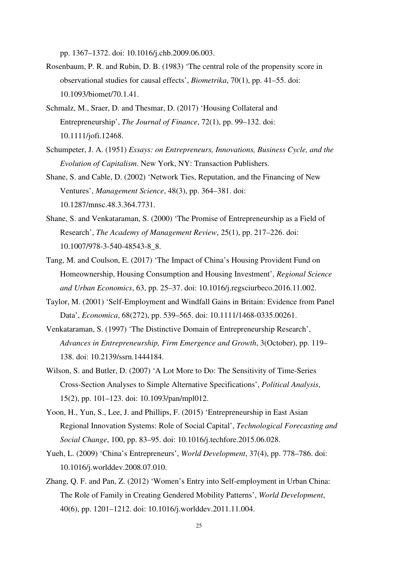pp. 1367–1372. doi: 10.1016/j.chb.2009.06.003.

- Rosenbaum, P. R. and Rubin, D. B. (1983) 'The central role of the propensity score in observational studies for causal effects', *Biometrika*, 70(1), pp. 41–55. doi: 10.1093/biomet/70.1.41.
- Schmalz, M., Sraer, D. and Thesmar, D. (2017) 'Housing Collateral and Entrepreneurship', *The Journal of Finance*, 72(1), pp. 99–132. doi: 10.1111/jofi.12468.
- Schumpeter, J. A. (1951) *Essays: on Entrepreneurs, Innovations, Business Cycle, and the Evolution of Capitalism*. New York, NY: Transaction Publishers.
- Shane, S. and Cable, D. (2002) 'Network Ties, Reputation, and the Financing of New Ventures', *Management Science*, 48(3), pp. 364–381. doi: 10.1287/mnsc.48.3.364.7731.
- Shane, S. and Venkataraman, S. (2000) 'The Promise of Entrepreneurship as a Field of Research', *The Academy of Management Review*, 25(1), pp. 217–226. doi: 10.1007/978-3-540-48543-8\_8.
- Tang, M. and Coulson, E. (2017) 'The Impact of China's Housing Provident Fund on Homeownership, Housing Consumption and Housing Investment', *Regional Science and Urban Economics*, 63, pp. 25–37. doi: 10.1016/j.regsciurbeco.2016.11.002.
- Taylor, M. (2001) 'Self-Employment and Windfall Gains in Britain: Evidence from Panel Data', *Economica*, 68(272), pp. 539–565. doi: 10.1111/1468-0335.00261.
- Venkataraman, S. (1997) 'The Distinctive Domain of Entrepreneurship Research', *Advances in Entrepreneurship, Firm Emergence and Growth*, 3(October), pp. 119– 138. doi: 10.2139/ssrn.1444184.
- Wilson, S. and Butler, D. (2007) 'A Lot More to Do: The Sensitivity of Time-Series Cross-Section Analyses to Simple Alternative Specifications', *Political Analysis*, 15(2), pp. 101–123. doi: 10.1093/pan/mpl012.
- Yoon, H., Yun, S., Lee, J. and Phillips, F. (2015) 'Entrepreneurship in East Asian Regional Innovation Systems: Role of Social Capital', *Technological Forecasting and Social Change*, 100, pp. 83–95. doi: 10.1016/j.techfore.2015.06.028.
- Yueh, L. (2009) 'China's Entrepreneurs', *World Development*, 37(4), pp. 778–786. doi: 10.1016/j.worlddev.2008.07.010.
- Zhang, Q. F. and Pan, Z. (2012) 'Women's Entry into Self-employment in Urban China: The Role of Family in Creating Gendered Mobility Patterns', *World Development*, 40(6), pp. 1201–1212. doi: 10.1016/j.worlddev.2011.11.004.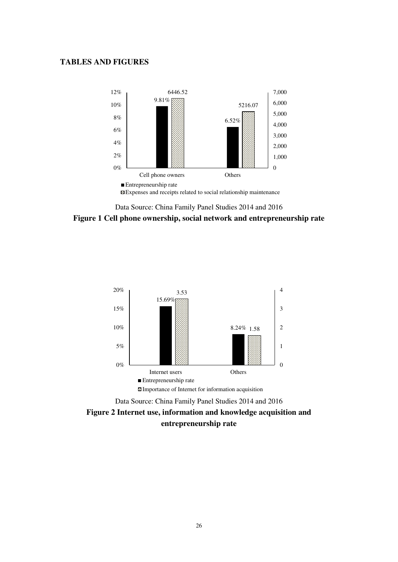#### **TABLES AND FIGURES**



Data Source: China Family Panel Studies 2014 and 2016

## **Figure 1 Cell phone ownership, social network and entrepreneurship rate**



**Figure 2 Internet use, information and knowledge acquisition and entrepreneurship rate**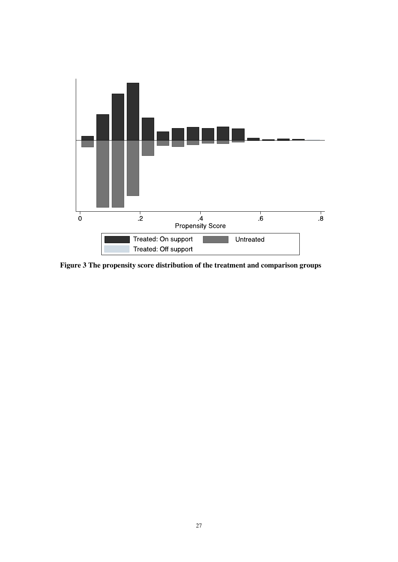

**Figure 3 The propensity score distribution of the treatment and comparison groups**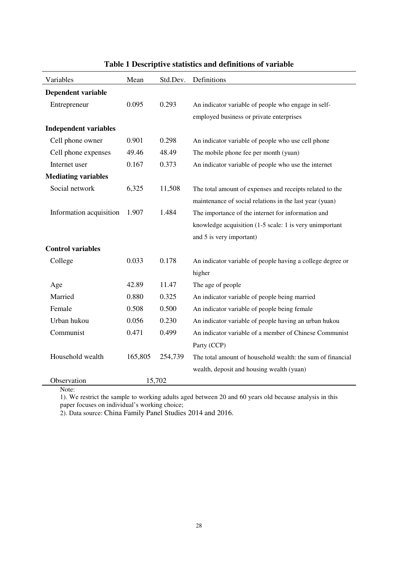| Variables                    | Mean    | Std.Dev. | Definitions                                                                 |
|------------------------------|---------|----------|-----------------------------------------------------------------------------|
| <b>Dependent variable</b>    |         |          |                                                                             |
| Entrepreneur                 | 0.095   | 0.293    | An indicator variable of people who engage in self-                         |
|                              |         |          | employed business or private enterprises                                    |
| <b>Independent variables</b> |         |          |                                                                             |
| Cell phone owner             | 0.901   | 0.298    | An indicator variable of people who use cell phone                          |
| Cell phone expenses          | 49.46   | 48.49    | The mobile phone fee per month (yuan)                                       |
| Internet user                | 0.167   | 0.373    | An indicator variable of people who use the internet                        |
| <b>Mediating variables</b>   |         |          |                                                                             |
| Social network               | 6,325   | 11,508   | The total amount of expenses and receipts related to the                    |
|                              |         |          | maintenance of social relations in the last year (yuan)                     |
| Information acquisition      | 1.907   | 1.484    | The importance of the internet for information and                          |
|                              |         |          | knowledge acquisition $(1-5 \text{ scale: } 1 \text{ is very unimportant})$ |
|                              |         |          | and 5 is very important)                                                    |
| <b>Control variables</b>     |         |          |                                                                             |
| College                      | 0.033   | 0.178    | An indicator variable of people having a college degree or                  |
|                              |         |          | higher                                                                      |
| Age                          | 42.89   | 11.47    | The age of people                                                           |
| Married                      | 0.880   | 0.325    | An indicator variable of people being married                               |
| Female                       | 0.508   | 0.500    | An indicator variable of people being female                                |
| Urban hukou                  | 0.056   | 0.230    | An indicator variable of people having an urban hukou                       |
| Communist                    | 0.471   | 0.499    | An indicator variable of a member of Chinese Communist                      |
|                              |         |          | Party (CCP)                                                                 |
| Household wealth             | 165,805 | 254,739  | The total amount of household wealth: the sum of financial                  |
|                              |         |          | wealth, deposit and housing wealth (yuan)                                   |
| Observation                  |         | 15,702   |                                                                             |

## **Table 1 Descriptive statistics and definitions of variable**

Note:

1). We restrict the sample to working adults aged between 20 and 60 years old because analysis in this paper focuses on individual's working choice;

2). Data source: China Family Panel Studies 2014 and 2016.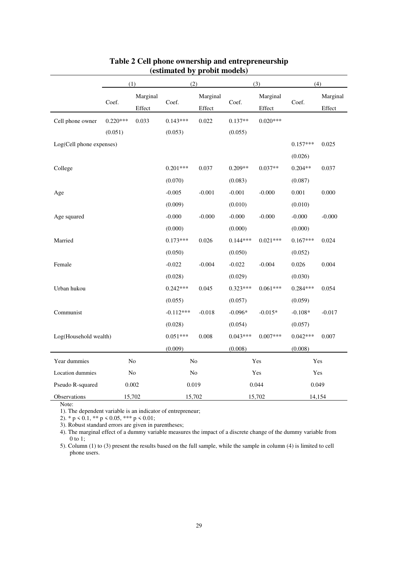|                          | (1)        |                    | (2)         |                    | (3)        |                    | (4)        |                    |
|--------------------------|------------|--------------------|-------------|--------------------|------------|--------------------|------------|--------------------|
|                          | Coef.      | Marginal<br>Effect | Coef.       | Marginal<br>Effect | Coef.      | Marginal<br>Effect | Coef.      | Marginal<br>Effect |
| Cell phone owner         | $0.220***$ | 0.033              | $0.143***$  | 0.022              | $0.137**$  | $0.020***$         |            |                    |
|                          | (0.051)    |                    | (0.053)     |                    | (0.055)    |                    |            |                    |
| Log(Cell phone expenses) |            |                    |             |                    |            |                    | $0.157***$ | 0.025              |
|                          |            |                    |             |                    |            |                    | (0.026)    |                    |
| College                  |            |                    | $0.201***$  | 0.037              | $0.209**$  | $0.037**$          | $0.204**$  | 0.037              |
|                          |            |                    | (0.070)     |                    | (0.083)    |                    | (0.087)    |                    |
| Age                      |            |                    | $-0.005$    | $-0.001$           | $-0.001$   | $-0.000$           | 0.001      | 0.000              |
|                          |            |                    | (0.009)     |                    | (0.010)    |                    | (0.010)    |                    |
| Age squared              |            |                    | $-0.000$    | $-0.000$           | $-0.000$   | $-0.000$           | $-0.000$   | $-0.000$           |
|                          |            |                    | (0.000)     |                    | (0.000)    |                    | (0.000)    |                    |
| Married                  |            |                    | $0.173***$  | 0.026              | $0.144***$ | $0.021***$         | $0.167***$ | 0.024              |
|                          |            |                    | (0.050)     |                    | (0.050)    |                    | (0.052)    |                    |
| Female                   |            |                    | $-0.022$    | $-0.004$           | $-0.022$   | $-0.004$           | 0.026      | 0.004              |
|                          |            |                    | (0.028)     |                    | (0.029)    |                    | (0.030)    |                    |
| Urban hukou              |            |                    | $0.242***$  | 0.045              | $0.323***$ | $0.061***$         | $0.284***$ | 0.054              |
|                          |            |                    | (0.055)     |                    | (0.057)    |                    | (0.059)    |                    |
| Communist                |            |                    | $-0.112***$ | $-0.018$           | $-0.096*$  | $-0.015*$          | $-0.108*$  | $-0.017$           |
|                          |            |                    | (0.028)     |                    | (0.054)    |                    | (0.057)    |                    |
| Log(Household wealth)    |            |                    | $0.051***$  | 0.008              | $0.043***$ | $0.007***$         | $0.042***$ | 0.007              |
|                          |            |                    | (0.009)     |                    | (0.008)    |                    | (0.008)    |                    |
| Year dummies             |            | $\rm No$           | $\rm No$    |                    |            | Yes                | Yes        |                    |
| Location dummies         |            | No                 | No          |                    |            | Yes                | Yes        |                    |
| Pseudo R-squared         |            | 0.002              | 0.019       |                    |            | 0.044              | 0.049      |                    |
| Observations             |            | 15,702             | 15,702      |                    |            | 15,702             | 14,154     |                    |

## **Table 2 Cell phone ownership and entrepreneurship (estimated by probit models)**

Note:

1). The dependent variable is an indicator of entrepreneur;

2). \* p < 0.1, \*\* p < 0.05, \*\*\* p < 0.01;

3). Robust standard errors are given in parentheses;

4). The marginal effect of a dummy variable measures the impact of a discrete change of the dummy variable from 0 to 1;

5). Column (1) to (3) present the results based on the full sample, while the sample in column (4) is limited to cell phone users.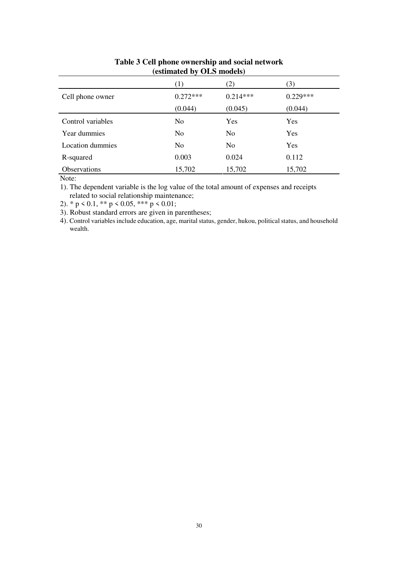| $(\text{column})$ $\sigma$ $\sigma$ $\sigma$ $\sigma$ $\sigma$ $\sigma$ |                  |            |            |  |  |  |  |  |
|-------------------------------------------------------------------------|------------------|------------|------------|--|--|--|--|--|
|                                                                         | $\left(1\right)$ | 2)         | (3)        |  |  |  |  |  |
| Cell phone owner                                                        | $0.272***$       | $0.214***$ | $0.229***$ |  |  |  |  |  |
|                                                                         | (0.044)          | (0.045)    | (0.044)    |  |  |  |  |  |
| Control variables                                                       | N <sub>0</sub>   | Yes        | Yes        |  |  |  |  |  |
| Year dummies                                                            | N <sub>0</sub>   | No.        | Yes        |  |  |  |  |  |
| Location dummies                                                        | N <sub>0</sub>   | No.        | Yes        |  |  |  |  |  |
| R-squared                                                               | 0.003            | 0.024      | 0.112      |  |  |  |  |  |
| Observations                                                            | 15,702           | 15,702     | 15,702     |  |  |  |  |  |

## **Table 3 Cell phone ownership and social network (estimated by OLS models)**

Note:

1). The dependent variable is the log value of the total amount of expenses and receipts related to social relationship maintenance;

2). \* p < 0.1, \*\* p < 0.05, \*\*\* p < 0.01;

3). Robust standard errors are given in parentheses;

4). Control variables include education, age, marital status, gender, hukou, political status, and household wealth.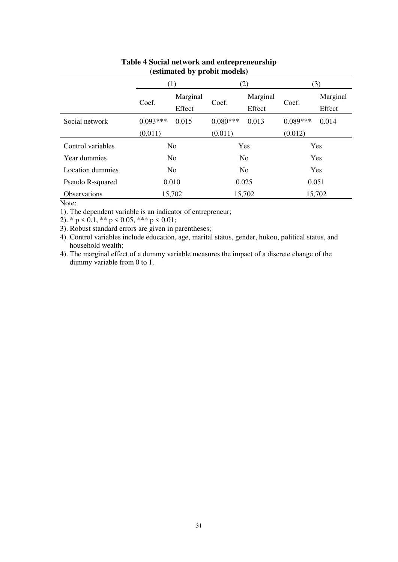| $($ csumatcu vy prvon moucis $)$ |                       |                    |                       |                    |                       |                    |  |  |
|----------------------------------|-----------------------|--------------------|-----------------------|--------------------|-----------------------|--------------------|--|--|
|                                  | (1)                   |                    |                       | (2)                | (3)                   |                    |  |  |
|                                  | Coef.                 | Marginal<br>Effect | Coef.                 | Marginal<br>Effect | Coef.                 | Marginal<br>Effect |  |  |
| Social network                   | $0.093***$<br>(0.011) | 0.015              | $0.080***$<br>(0.011) | 0.013              | $0.089***$<br>(0.012) | 0.014              |  |  |
| Control variables                |                       | N <sub>o</sub>     |                       | Yes                |                       | Yes                |  |  |
| Year dummies                     |                       | N <sub>0</sub>     | N <sub>0</sub>        |                    | Yes                   |                    |  |  |
| <b>Location dummies</b>          | N <sub>0</sub>        |                    | N <sub>o</sub>        |                    | Yes                   |                    |  |  |
| Pseudo R-squared                 | 0.010                 |                    | 0.025                 |                    | 0.051                 |                    |  |  |
| Observations                     |                       | 15,702             |                       | 15,702             |                       | 15,702             |  |  |

## **Table 4 Social network and entrepreneurship (estimated by probit models)**

Note:

1). The dependent variable is an indicator of entrepreneur;

2). \*  $p < 0.1$ , \*\*  $p < 0.05$ , \*\*\*  $p < 0.01$ ;

3). Robust standard errors are given in parentheses;

4). Control variables include education, age, marital status, gender, hukou, political status, and household wealth;

4). The marginal effect of a dummy variable measures the impact of a discrete change of the dummy variable from 0 to 1.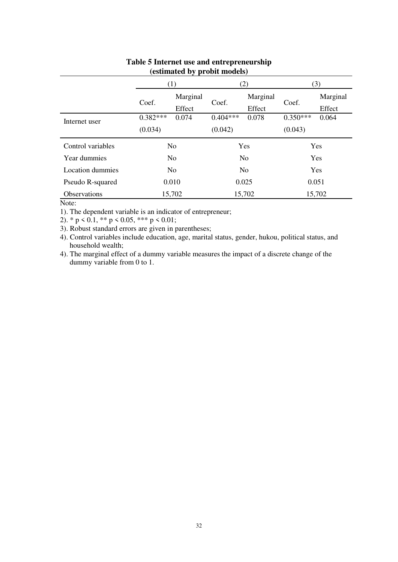| $\alpha$            |            |                    |                |                    |            |                    |  |  |
|---------------------|------------|--------------------|----------------|--------------------|------------|--------------------|--|--|
|                     |            | $\left(1\right)$   |                | (2)                |            | (3)                |  |  |
|                     | Coef.      | Marginal<br>Effect | Coef.          | Marginal<br>Effect | Coef.      | Marginal<br>Effect |  |  |
| Internet user       | $0.382***$ | 0.074              | $0.404***$     | 0.078              | $0.350***$ | 0.064              |  |  |
|                     | (0.034)    |                    | (0.042)        |                    | (0.043)    |                    |  |  |
| Control variables   |            | N <sub>0</sub>     |                | Yes                |            | Yes                |  |  |
| Year dummies        |            | N <sub>0</sub>     | N <sub>0</sub> |                    | Yes        |                    |  |  |
| Location dummies    |            | N <sub>0</sub>     |                | N <sub>0</sub>     |            | Yes                |  |  |
| Pseudo R-squared    | 0.010      |                    | 0.025          |                    | 0.051      |                    |  |  |
| <b>Observations</b> |            | 15,702             |                | 15,702             |            | 15,702             |  |  |

#### **Table 5 Internet use and entrepreneurship (estimated by probit models)**

Note:

1). The dependent variable is an indicator of entrepreneur;

2). \* p < 0.1, \*\* p < 0.05, \*\*\* p < 0.01;

3). Robust standard errors are given in parentheses;

4). Control variables include education, age, marital status, gender, hukou, political status, and household wealth;

4). The marginal effect of a dummy variable measures the impact of a discrete change of the dummy variable from 0 to 1.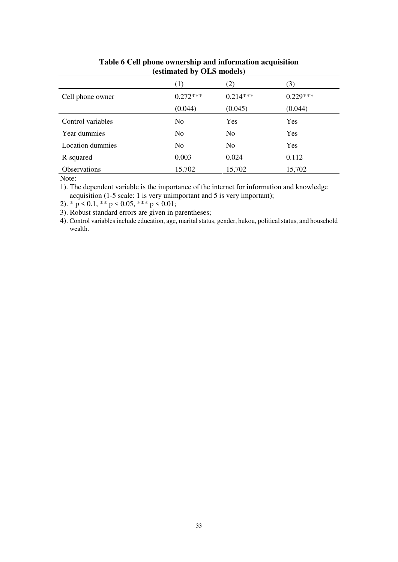| $\alpha$ commuted by $\alpha$ invariant |                  |                |            |  |  |  |  |  |
|-----------------------------------------|------------------|----------------|------------|--|--|--|--|--|
|                                         | $\left(1\right)$ | (2)            | (3)        |  |  |  |  |  |
| Cell phone owner                        | $0.272***$       | $0.214***$     | $0.229***$ |  |  |  |  |  |
|                                         | (0.044)          | (0.045)        | (0.044)    |  |  |  |  |  |
| Control variables                       | N <sub>0</sub>   | Yes            | Yes        |  |  |  |  |  |
| Year dummies                            | N <sub>0</sub>   | N <sub>0</sub> | Yes        |  |  |  |  |  |
| Location dummies                        | N <sub>0</sub>   | N <sub>0</sub> | Yes        |  |  |  |  |  |
| R-squared                               | 0.003            | 0.024          | 0.112      |  |  |  |  |  |
| Observations                            | 15,702           | 15,702         | 15,702     |  |  |  |  |  |

## **Table 6 Cell phone ownership and information acquisition (estimated by OLS models)**

Note:

1). The dependent variable is the importance of the internet for information and knowledge acquisition (1-5 scale: 1 is very unimportant and 5 is very important);

2). \* p < 0.1, \*\* p < 0.05, \*\*\* p < 0.01;

3). Robust standard errors are given in parentheses;

4). Control variables include education, age, marital status, gender, hukou, political status, and household wealth.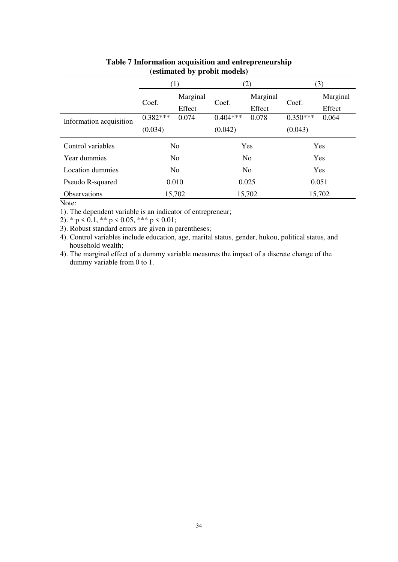|                         | (1)            |                    |                | (2)                | (3)        |                    |  |  |
|-------------------------|----------------|--------------------|----------------|--------------------|------------|--------------------|--|--|
|                         | Coef.          | Marginal<br>Effect | Coef.          | Marginal<br>Effect | Coef.      | Marginal<br>Effect |  |  |
| Information acquisition | $0.382***$     | 0.074              | $0.404***$     | 0.078              | $0.350***$ | 0.064              |  |  |
|                         | (0.034)        |                    | (0.042)        |                    | (0.043)    |                    |  |  |
| Control variables       |                | N <sub>o</sub>     |                | Yes                |            | Yes                |  |  |
| Year dummies            |                | N <sub>o</sub>     | N <sub>o</sub> |                    | Yes        |                    |  |  |
| Location dummies        | N <sub>0</sub> |                    | N <sub>o</sub> |                    | Yes        |                    |  |  |
| Pseudo R-squared        | 0.010          |                    | 0.025          |                    | 0.051      |                    |  |  |
| Observations            |                | 15,702             |                | 15,702             |            | 15,702             |  |  |

## **Table 7 Information acquisition and entrepreneurship (estimated by probit models)**

Note:

1). The dependent variable is an indicator of entrepreneur;

2). \*  $p < 0.1$ , \*\*  $p < 0.05$ , \*\*\*  $p < 0.01$ ;

3). Robust standard errors are given in parentheses;

4). Control variables include education, age, marital status, gender, hukou, political status, and household wealth;

4). The marginal effect of a dummy variable measures the impact of a discrete change of the dummy variable from 0 to 1.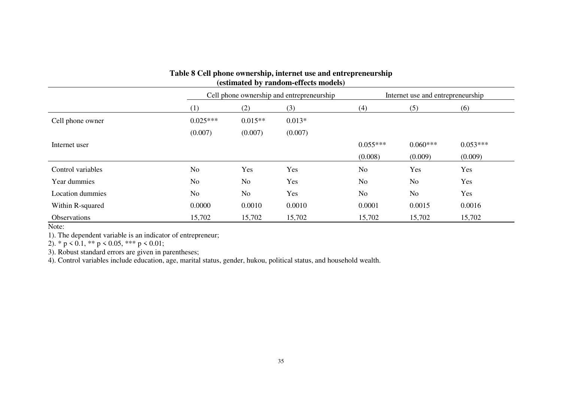| Table 8 Cell phone ownership, internet use and entrepreneurship<br>(estimated by random-effects models) |                |                |                                           |                |                                   |            |  |  |
|---------------------------------------------------------------------------------------------------------|----------------|----------------|-------------------------------------------|----------------|-----------------------------------|------------|--|--|
|                                                                                                         |                |                | Cell phone ownership and entrepreneurship |                | Internet use and entrepreneurship |            |  |  |
|                                                                                                         | (1)            | (2)            | (3)                                       | (4)            | (5)                               | (6)        |  |  |
| Cell phone owner                                                                                        | $0.025***$     | $0.015**$      | $0.013*$                                  |                |                                   |            |  |  |
|                                                                                                         | (0.007)        | (0.007)        | (0.007)                                   |                |                                   |            |  |  |
| Internet user                                                                                           |                |                |                                           | $0.055***$     | $0.060***$                        | $0.053***$ |  |  |
|                                                                                                         |                |                |                                           | (0.008)        | (0.009)                           | (0.009)    |  |  |
| Control variables                                                                                       | No             | Yes            | Yes                                       | No             | Yes                               | Yes        |  |  |
| Year dummies                                                                                            | N <sub>o</sub> | N <sub>o</sub> | Yes                                       | N <sub>o</sub> | N <sub>o</sub>                    | Yes        |  |  |
| <b>Location dummies</b>                                                                                 | N <sub>o</sub> | N <sub>o</sub> | Yes                                       | N <sub>o</sub> | No                                | Yes        |  |  |
| Within R-squared                                                                                        | 0.0000         | 0.0010         | 0.0010                                    | 0.0001         | 0.0015                            | 0.0016     |  |  |
| <b>Observations</b>                                                                                     | 15,702         | 15,702         | 15,702                                    | 15,702         | 15,702                            | 15,702     |  |  |

Note:

1). The dependent variable is an indicator of entrepreneur;

2). \*  $p < 0.1$ , \*\*  $p < 0.05$ , \*\*\*  $p < 0.01$ ;

3). Robust standard errors are given in parentheses;

4). Control variables include education, age, marital status, gender, hukou, political status, and household wealth.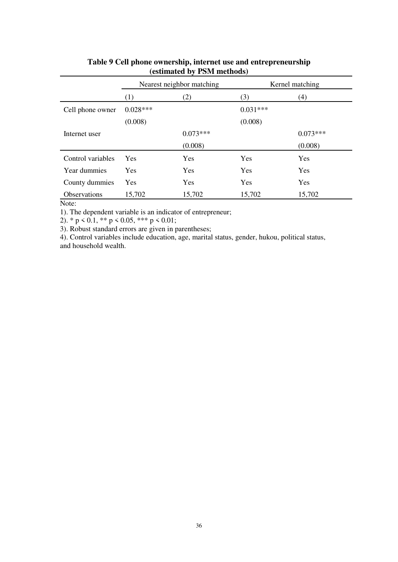|                   | Nearest neighbor matching |            | Kernel matching |            |  |
|-------------------|---------------------------|------------|-----------------|------------|--|
|                   | (1)                       | (2)        | (3)             | (4)        |  |
| Cell phone owner  | $0.028***$                |            | $0.031***$      |            |  |
|                   | (0.008)                   |            | (0.008)         |            |  |
| Internet user     |                           | $0.073***$ |                 | $0.073***$ |  |
|                   |                           | (0.008)    |                 | (0.008)    |  |
| Control variables | <b>Yes</b>                | Yes        | Yes             | Yes        |  |
| Year dummies      | Yes                       | Yes        | Yes             | Yes        |  |
| County dummies    | Yes                       | Yes        | Yes             | Yes        |  |
| Observations      | 15,702                    | 15,702     | 15,702          | 15,702     |  |

| Table 9 Cell phone ownership, internet use and entrepreneurship |
|-----------------------------------------------------------------|
| (estimated by PSM methods)                                      |

Note:

1). The dependent variable is an indicator of entrepreneur;

2). \*  $p < 0.1$ , \*\*  $p < 0.05$ , \*\*\*  $p < 0.01$ ;

3). Robust standard errors are given in parentheses;

4). Control variables include education, age, marital status, gender, hukou, political status, and household wealth.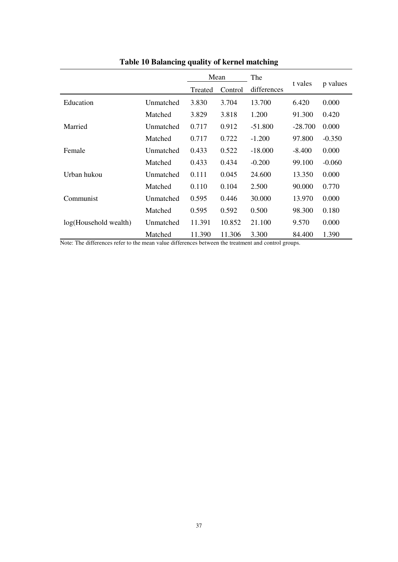|                                     |           |         | Mean    |             |           |          |
|-------------------------------------|-----------|---------|---------|-------------|-----------|----------|
|                                     |           | Treated | Control | differences | t vales   | p values |
| Education                           | Unmatched | 3.830   | 3.704   | 13.700      | 6.420     | 0.000    |
|                                     | Matched   | 3.829   | 3.818   | 1.200       | 91.300    | 0.420    |
| Married                             | Unmatched | 0.717   | 0.912   | $-51.800$   | $-28.700$ | 0.000    |
|                                     | Matched   | 0.717   | 0.722   | $-1.200$    | 97.800    | $-0.350$ |
| Female                              | Unmatched | 0.433   | 0.522   | $-18.000$   | $-8.400$  | 0.000    |
|                                     | Matched   | 0.433   | 0.434   | $-0.200$    | 99.100    | $-0.060$ |
| Urban hukou                         | Unmatched | 0.111   | 0.045   | 24.600      | 13.350    | 0.000    |
|                                     | Matched   | 0.110   | 0.104   | 2.500       | 90.000    | 0.770    |
| Communist                           | Unmatched | 0.595   | 0.446   | 30.000      | 13.970    | 0.000    |
|                                     | Matched   | 0.595   | 0.592   | 0.500       | 98.300    | 0.180    |
| log(Household wealth)               | Unmatched | 11.391  | 10.852  | 21.100      | 9.570     | 0.000    |
| 1.00<br>$\sim$<br><b>CONTRACTOR</b> | Matched   | 11.390  | 11.306  | 3.300       | 84.400    | 1.390    |

## **Table 10 Balancing quality of kernel matching**

Note: The differences refer to the mean value differences between the treatment and control groups.